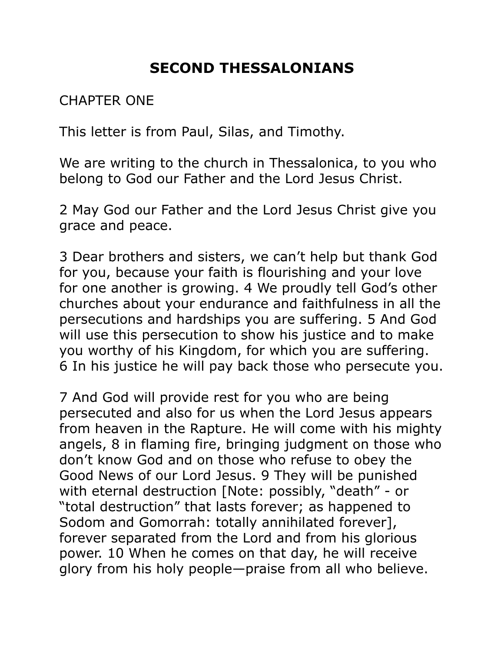## **SECOND THESSALONIANS**

CHAPTER ONE

This letter is from Paul, Silas, and Timothy.

We are writing to the church in Thessalonica, to you who belong to God our Father and the Lord Jesus Christ.

2 May God our Father and the Lord Jesus Christ give you grace and peace.

3 Dear brothers and sisters, we can't help but thank God for you, because your faith is flourishing and your love for one another is growing. 4 We proudly tell God's other churches about your endurance and faithfulness in all the persecutions and hardships you are suffering. 5 And God will use this persecution to show his justice and to make you worthy of his Kingdom, for which you are suffering. 6 In his justice he will pay back those who persecute you.

7 And God will provide rest for you who are being persecuted and also for us when the Lord Jesus appears from heaven in the Rapture. He will come with his mighty angels, 8 in flaming fire, bringing judgment on those who don't know God and on those who refuse to obey the Good News of our Lord Jesus. 9 They will be punished with eternal destruction [Note: possibly, "death" - or "total destruction" that lasts forever; as happened to Sodom and Gomorrah: totally annihilated forever], forever separated from the Lord and from his glorious power. 10 When he comes on that day, he will receive glory from his holy people—praise from all who believe.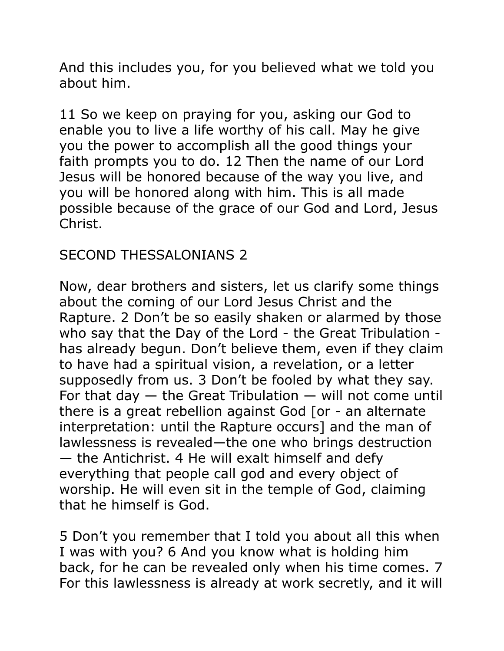And this includes you, for you believed what we told you about him.

11 So we keep on praying for you, asking our God to enable you to live a life worthy of his call. May he give you the power to accomplish all the good things your faith prompts you to do. 12 Then the name of our Lord Jesus will be honored because of the way you live, and you will be honored along with him. This is all made possible because of the grace of our God and Lord, Jesus Christ.

## SECOND THESSALONIANS 2

Now, dear brothers and sisters, let us clarify some things about the coming of our Lord Jesus Christ and the Rapture. 2 Don't be so easily shaken or alarmed by those who say that the Day of the Lord - the Great Tribulation has already begun. Don't believe them, even if they claim to have had a spiritual vision, a revelation, or a letter supposedly from us. 3 Don't be fooled by what they say. For that day  $-$  the Great Tribulation  $-$  will not come until there is a great rebellion against God [or - an alternate interpretation: until the Rapture occurs] and the man of lawlessness is revealed—the one who brings destruction — the Antichrist. 4 He will exalt himself and defy everything that people call god and every object of worship. He will even sit in the temple of God, claiming that he himself is God.

5 Don't you remember that I told you about all this when I was with you? 6 And you know what is holding him back, for he can be revealed only when his time comes. 7 For this lawlessness is already at work secretly, and it will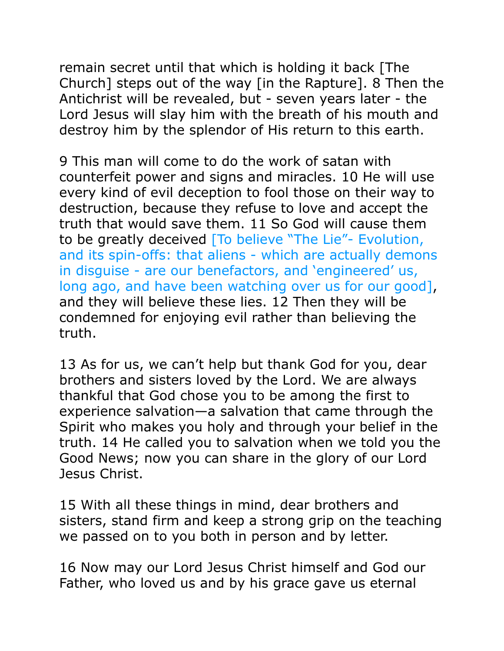remain secret until that which is holding it back [The Church] steps out of the way [in the Rapture]. 8 Then the Antichrist will be revealed, but - seven years later - the Lord Jesus will slay him with the breath of his mouth and destroy him by the splendor of His return to this earth.

9 This man will come to do the work of satan with counterfeit power and signs and miracles. 10 He will use every kind of evil deception to fool those on their way to destruction, because they refuse to love and accept the truth that would save them. 11 So God will cause them to be greatly deceived [To believe "The Lie"- Evolution, and its spin-offs: that aliens - which are actually demons in disguise - are our benefactors, and 'engineered' us, long ago, and have been watching over us for our good], and they will believe these lies. 12 Then they will be condemned for enjoying evil rather than believing the truth.

13 As for us, we can't help but thank God for you, dear brothers and sisters loved by the Lord. We are always thankful that God chose you to be among the first to experience salvation—a salvation that came through the Spirit who makes you holy and through your belief in the truth. 14 He called you to salvation when we told you the Good News; now you can share in the glory of our Lord Jesus Christ.

15 With all these things in mind, dear brothers and sisters, stand firm and keep a strong grip on the teaching we passed on to you both in person and by letter.

16 Now may our Lord Jesus Christ himself and God our Father, who loved us and by his grace gave us eternal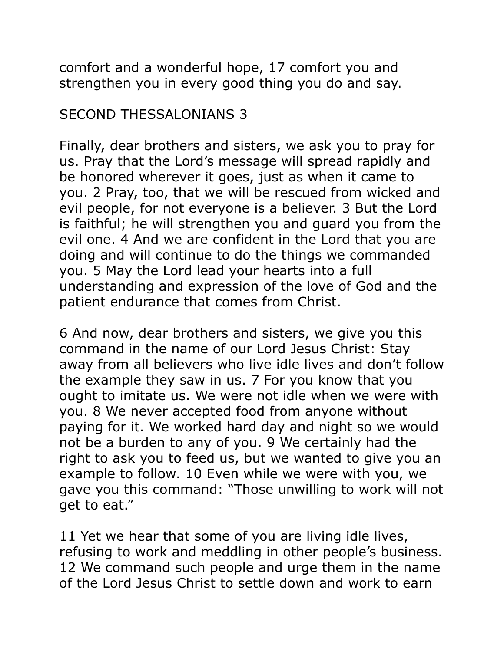comfort and a wonderful hope, 17 comfort you and strengthen you in every good thing you do and say.

## SECOND THESSALONIANS 3

Finally, dear brothers and sisters, we ask you to pray for us. Pray that the Lord's message will spread rapidly and be honored wherever it goes, just as when it came to you. 2 Pray, too, that we will be rescued from wicked and evil people, for not everyone is a believer. 3 But the Lord is faithful; he will strengthen you and guard you from the evil one. 4 And we are confident in the Lord that you are doing and will continue to do the things we commanded you. 5 May the Lord lead your hearts into a full understanding and expression of the love of God and the patient endurance that comes from Christ.

6 And now, dear brothers and sisters, we give you this command in the name of our Lord Jesus Christ: Stay away from all believers who live idle lives and don't follow the example they saw in us. 7 For you know that you ought to imitate us. We were not idle when we were with you. 8 We never accepted food from anyone without paying for it. We worked hard day and night so we would not be a burden to any of you. 9 We certainly had the right to ask you to feed us, but we wanted to give you an example to follow. 10 Even while we were with you, we gave you this command: "Those unwilling to work will not get to eat."

11 Yet we hear that some of you are living idle lives, refusing to work and meddling in other people's business. 12 We command such people and urge them in the name of the Lord Jesus Christ to settle down and work to earn